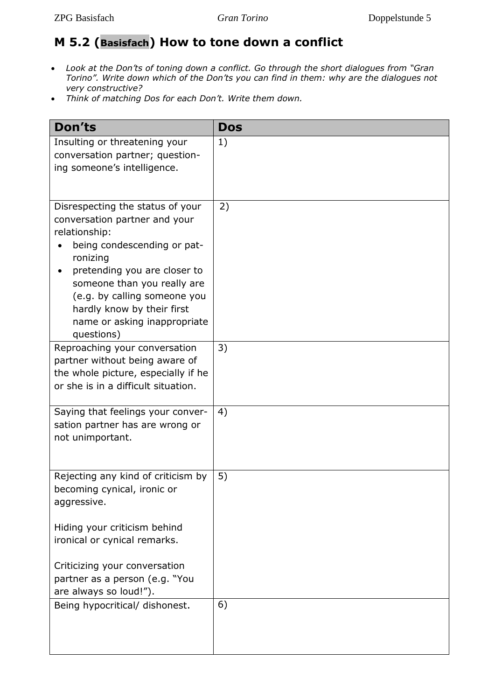## **M 5.2 (Basisfach) How to tone down a conflict**

- *Look at the Don'ts of toning down a conflict. Go through the short dialogues from "Gran Torino". Write down which of the Don'ts you can find in them: why are the dialogues not very constructive?*
- *Think of matching Dos for each Don't. Write them down.*

| <b>Don'ts</b>                                                                                                                                                                                                                                                                                            | <b>Dos</b> |
|----------------------------------------------------------------------------------------------------------------------------------------------------------------------------------------------------------------------------------------------------------------------------------------------------------|------------|
| Insulting or threatening your<br>conversation partner; question-<br>ing someone's intelligence.                                                                                                                                                                                                          | 1)         |
| Disrespecting the status of your<br>conversation partner and your<br>relationship:<br>being condescending or pat-<br>ronizing<br>pretending you are closer to<br>someone than you really are<br>(e.g. by calling someone you<br>hardly know by their first<br>name or asking inappropriate<br>questions) | 2)         |
| Reproaching your conversation<br>partner without being aware of<br>the whole picture, especially if he<br>or she is in a difficult situation.                                                                                                                                                            | 3)         |
| Saying that feelings your conver-<br>sation partner has are wrong or<br>not unimportant.                                                                                                                                                                                                                 | 4)         |
| Rejecting any kind of criticism by<br>becoming cynical, ironic or<br>aggressive.<br>Hiding your criticism behind<br>ironical or cynical remarks.<br>Criticizing your conversation                                                                                                                        | 5)         |
| partner as a person (e.g. "You<br>are always so loud!").                                                                                                                                                                                                                                                 |            |
| Being hypocritical/ dishonest.                                                                                                                                                                                                                                                                           | 6)         |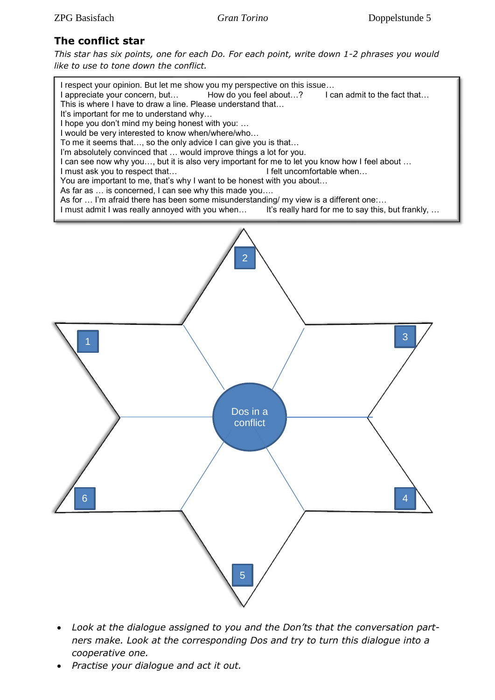#### **The conflict star**

*This star has six points, one for each Do. For each point, write down 1-2 phrases you would like to use to tone down the conflict.*



- *Look at the dialogue assigned to you and the Don'ts that the conversation partners make. Look at the corresponding Dos and try to turn this dialogue into a cooperative one.*
- *Practise your dialogue and act it out.*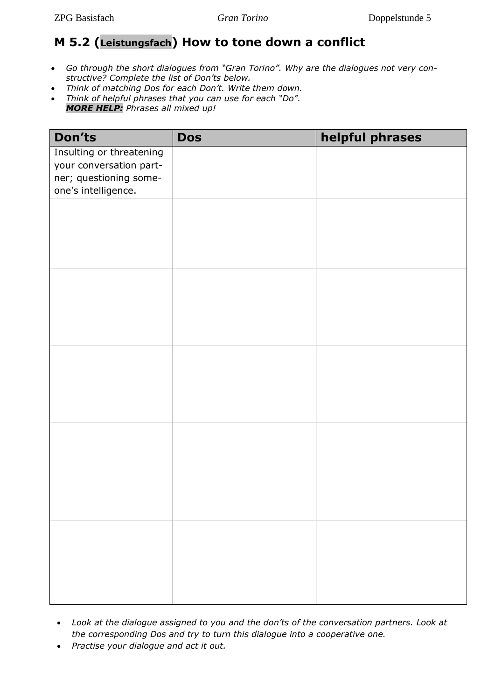## **M 5.2 (Leistungsfach) How to tone down a conflict**

- *Go through the short dialogues from "Gran Torino". Why are the dialogues not very constructive? Complete the list of Don'ts below.*
- *Think of matching Dos for each Don't. Write them down.*  • *Think of helpful phrases that you can use for each "Do". MORE HELP: Phrases all mixed up!*

| Don'ts                                        | <b>Dos</b> | helpful phrases |
|-----------------------------------------------|------------|-----------------|
| Insulting or threatening                      |            |                 |
| your conversation part-                       |            |                 |
| ner; questioning some-<br>one's intelligence. |            |                 |
|                                               |            |                 |
|                                               |            |                 |
|                                               |            |                 |
|                                               |            |                 |
|                                               |            |                 |
|                                               |            |                 |
|                                               |            |                 |
|                                               |            |                 |
|                                               |            |                 |
|                                               |            |                 |
|                                               |            |                 |
|                                               |            |                 |
|                                               |            |                 |
|                                               |            |                 |
|                                               |            |                 |
|                                               |            |                 |
|                                               |            |                 |
|                                               |            |                 |
|                                               |            |                 |
|                                               |            |                 |
|                                               |            |                 |
|                                               |            |                 |
|                                               |            |                 |
|                                               |            |                 |
|                                               |            |                 |
|                                               |            |                 |
|                                               |            |                 |

- *Look at the dialogue assigned to you and the don'ts of the conversation partners. Look at the corresponding Dos and try to turn this dialogue into a cooperative one.*
- *Practise your dialogue and act it out.*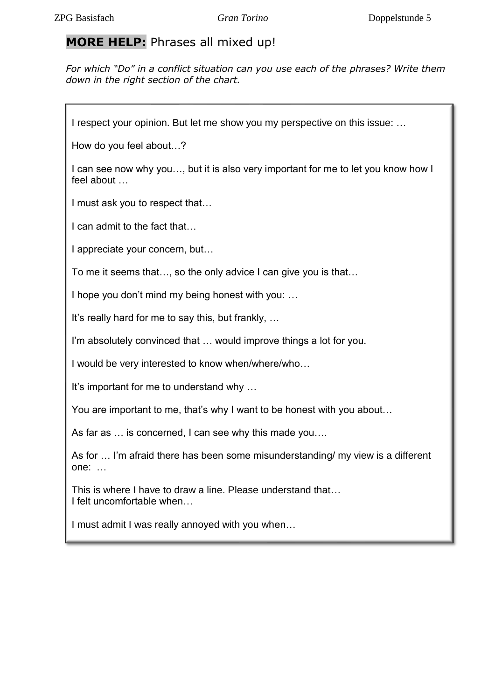### **MORE HELP:** Phrases all mixed up!

*For which "Do" in a conflict situation can you use each of the phrases? Write them down in the right section of the chart.* 

I respect your opinion. But let me show you my perspective on this issue: ...

How do you feel about…?

I can see now why you…, but it is also very important for me to let you know how I feel about …

I must ask you to respect that…

I can admit to the fact that…

I appreciate your concern, but…

To me it seems that…, so the only advice I can give you is that…

I hope you don't mind my being honest with you: …

It's really hard for me to say this, but frankly, …

I'm absolutely convinced that … would improve things a lot for you.

I would be very interested to know when/where/who…

It's important for me to understand why …

You are important to me, that's why I want to be honest with you about…

As far as … is concerned, I can see why this made you….

As for … I'm afraid there has been some misunderstanding/ my view is a different one: …

This is where I have to draw a line. Please understand that… I felt uncomfortable when…

I must admit I was really annoyed with you when…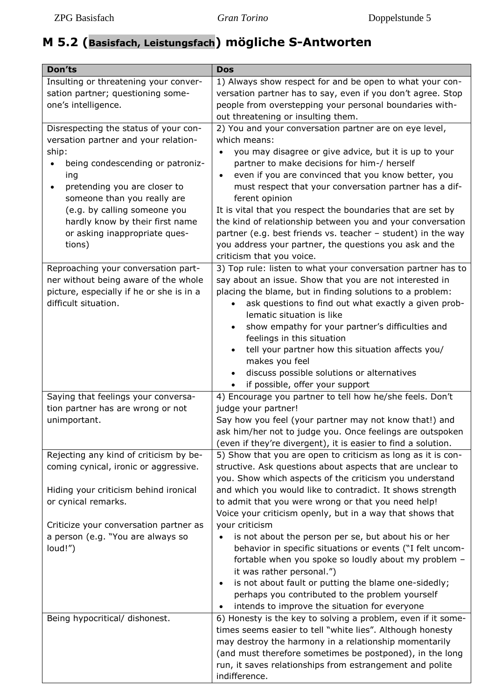# **M 5.2 (Basisfach, Leistungsfach) mögliche S-Antworten**

| Don'ts                                                                                                                                                                                                                                                                                                         | <b>Dos</b>                                                                                                                                                                                                                                                                                                                                                                                                                                                                                                                                                                                                                                                                                                                                                                  |
|----------------------------------------------------------------------------------------------------------------------------------------------------------------------------------------------------------------------------------------------------------------------------------------------------------------|-----------------------------------------------------------------------------------------------------------------------------------------------------------------------------------------------------------------------------------------------------------------------------------------------------------------------------------------------------------------------------------------------------------------------------------------------------------------------------------------------------------------------------------------------------------------------------------------------------------------------------------------------------------------------------------------------------------------------------------------------------------------------------|
| Insulting or threatening your conver-<br>sation partner; questioning some-<br>one's intelligence.                                                                                                                                                                                                              | 1) Always show respect for and be open to what your con-<br>versation partner has to say, even if you don't agree. Stop<br>people from overstepping your personal boundaries with-<br>out threatening or insulting them.                                                                                                                                                                                                                                                                                                                                                                                                                                                                                                                                                    |
| Disrespecting the status of your con-<br>versation partner and your relation-<br>ship:<br>being condescending or patroniz-<br>ing<br>pretending you are closer to<br>someone than you really are<br>(e.g. by calling someone you<br>hardly know by their first name<br>or asking inappropriate ques-<br>tions) | 2) You and your conversation partner are on eye level,<br>which means:<br>you may disagree or give advice, but it is up to your<br>partner to make decisions for him-/ herself<br>even if you are convinced that you know better, you<br>$\bullet$<br>must respect that your conversation partner has a dif-<br>ferent opinion<br>It is vital that you respect the boundaries that are set by<br>the kind of relationship between you and your conversation<br>partner (e.g. best friends vs. teacher - student) in the way<br>you address your partner, the questions you ask and the<br>criticism that you voice.                                                                                                                                                         |
| Reproaching your conversation part-<br>ner without being aware of the whole<br>picture, especially if he or she is in a<br>difficult situation.                                                                                                                                                                | 3) Top rule: listen to what your conversation partner has to<br>say about an issue. Show that you are not interested in<br>placing the blame, but in finding solutions to a problem:<br>ask questions to find out what exactly a given prob-<br>$\bullet$<br>lematic situation is like<br>show empathy for your partner's difficulties and<br>feelings in this situation<br>tell your partner how this situation affects you/<br>makes you feel<br>discuss possible solutions or alternatives<br>$\bullet$<br>if possible, offer your support                                                                                                                                                                                                                               |
| Saying that feelings your conversa-<br>tion partner has are wrong or not<br>unimportant.                                                                                                                                                                                                                       | 4) Encourage you partner to tell how he/she feels. Don't<br>judge your partner!<br>Say how you feel (your partner may not know that!) and<br>ask him/her not to judge you. Once feelings are outspoken<br>(even if they're divergent), it is easier to find a solution.                                                                                                                                                                                                                                                                                                                                                                                                                                                                                                     |
| Rejecting any kind of criticism by be-<br>coming cynical, ironic or aggressive.<br>Hiding your criticism behind ironical<br>or cynical remarks.<br>Criticize your conversation partner as<br>a person (e.g. "You are always so<br>loud!")                                                                      | 5) Show that you are open to criticism as long as it is con-<br>structive. Ask questions about aspects that are unclear to<br>you. Show which aspects of the criticism you understand<br>and which you would like to contradict. It shows strength<br>to admit that you were wrong or that you need help!<br>Voice your criticism openly, but in a way that shows that<br>your criticism<br>is not about the person per se, but about his or her<br>behavior in specific situations or events ("I felt uncom-<br>fortable when you spoke so loudly about my problem -<br>it was rather personal.")<br>is not about fault or putting the blame one-sidedly;<br>$\bullet$<br>perhaps you contributed to the problem yourself<br>intends to improve the situation for everyone |
| Being hypocritical/ dishonest.                                                                                                                                                                                                                                                                                 | 6) Honesty is the key to solving a problem, even if it some-<br>times seems easier to tell "white lies". Although honesty<br>may destroy the harmony in a relationship momentarily<br>(and must therefore sometimes be postponed), in the long<br>run, it saves relationships from estrangement and polite<br>indifference.                                                                                                                                                                                                                                                                                                                                                                                                                                                 |